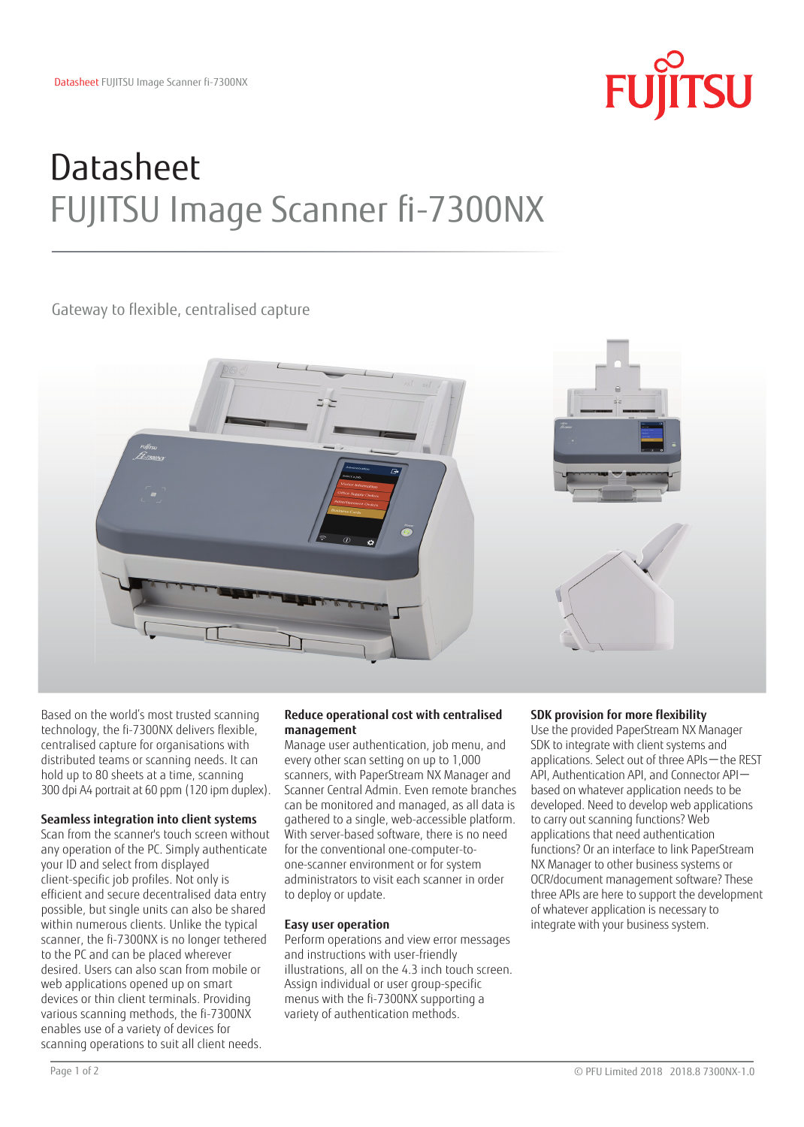

# Datasheet FUJITSU Image Scanner fi-7300NX

Gateway to flexible, centralised capture



Based on the world's most trusted scanning technology, the fi-7300NX delivers flexible, centralised capture for organisations with distributed teams or scanning needs. It can hold up to 80 sheets at a time, scanning 300 dpi A4 portrait at 60 ppm (120 ipm duplex).

# **Seamless integration into client systems**

Scan from the scanner's touch screen without any operation of the PC. Simply authenticate your ID and select from displayed client-specific job profiles. Not only is efficient and secure decentralised data entry possible, but single units can also be shared within numerous clients. Unlike the typical scanner, the fi-7300NX is no longer tethered to the PC and can be placed wherever desired. Users can also scan from mobile or web applications opened up on smart devices or thin client terminals. Providing various scanning methods, the fi-7300NX enables use of a variety of devices for scanning operations to suit all client needs.

# **Reduce operational cost with centralised management**

Manage user authentication, job menu, and every other scan setting on up to 1,000 scanners, with PaperStream NX Manager and Scanner Central Admin. Even remote branches can be monitored and managed, as all data is gathered to a single, web-accessible platform. With server-based software, there is no need for the conventional one-computer-toone-scanner environment or for system administrators to visit each scanner in order to deploy or update.

# **Easy user operation**

Perform operations and view error messages and instructions with user-friendly illustrations, all on the 4.3 inch touch screen. Assign individual or user group-specific menus with the fi-7300NX supporting a variety of authentication methods.

# **SDK provision for more flexibility**

Use the provided PaperStream NX Manager SDK to integrate with client systems and applications. Select out of three APIs-the REST API, Authentication API, and Connector APIbased on whatever application needs to be developed. Need to develop web applications to carry out scanning functions? Web applications that need authentication functions? Or an interface to link PaperStream NX Manager to other business systems or OCR/document management software? These three APIs are here to support the development of whatever application is necessary to integrate with your business system.